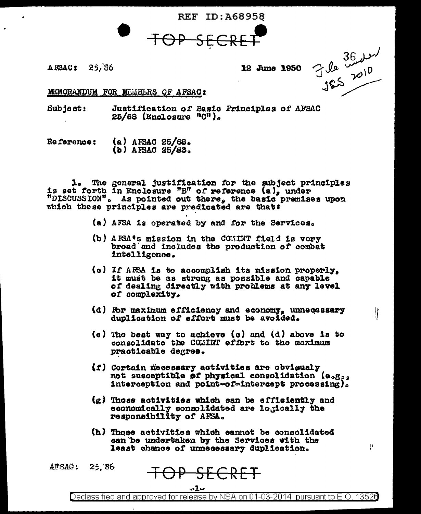**REF ID: A68958** 



 $A$  FSAC:  $25/86$ 

12 June 1950

 $765 \frac{3624}{185}$ 

11

Ţ.

MEMORANDUM FOR MEMBERS OF AFSAC:

Subject: Justification of Basic Principles of AFSAC  $25/68$  (Enclosure " $0$ ").

 $(a)$  AFSAC 25/68. **Reference:**  $(b)$  AFSAC 25/83.

1. The general justification for the subject principles is set forth in Enclosure "B" of reference  $(a)$ , under "DISCUSSION". As pointed out there, the basic premises upon which these principles are predicated are that:

- (a) AFSA is operated by and for the Services.
- (b) AESA's mission in the COMINT field is vory broad and includes the production of combat intelligence.
- (c) If AFSA is to accomplish its mission properly, it must be as strong as possible and capable of dealing directly with problems at any level of complexity.
- (d) For maximum efficiency and economy, unnecessary duplication of effort must be avoided.
- (e) The best way to achieve (c) and (d) above is to consolidate the COMINT effort to the maximum practicable degree.
- (f) Certain necessary activities are obviously not susceptible of physical consolidation (e.g., interception and point=of-intercept processing).
- (g) Those activities which can be efficiently and economically consolidated are logically the responsibility of AFSA.
- (h) Those activities which cannot be consolidated can be undertaken by the Services with the least chance of unnecessary duplication.

APSAC :  $25.86$ 

OP SECRET

Declassified and approved for release by NSA on 01-03-2014 pursuant to E.O. 13526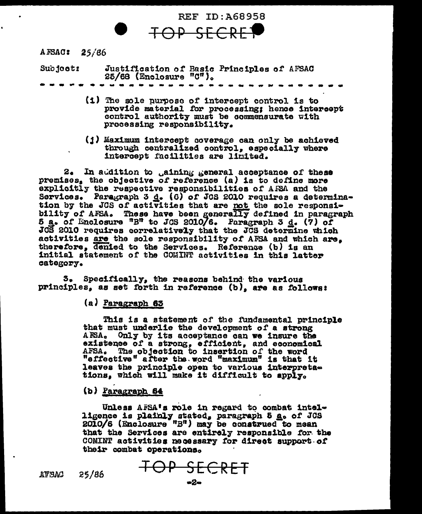

AFSAC: 25/86

Justification of Basic Principles of AFSAC<br>25/68 (Enclosure "C"). Subject:

- (1) The sole purpose of intercept control is to provide material for processing; hence intercept control authority must be commensurate with processing responsibility.
- (1) Maximum intercept coverage can only be achieved through centralized control, especially where intercept facilities are limited.

 $2.$ In addition to gaining general acceptance of these premises, the objective of reference  $(a)$  is to define more explicitly the respective responsibilities of AFSA and the Services. Paragraph 3 d. (6) of JCS 2010 requires a determination by the JCS of activities that are not the sole responsibility of AFSA. These have been generally defined in paragraph 5 a. of Enclosure "B" to JCS 2010/6. Paragraph 3 d. (7) of<br>JCS 2010 requires correlatively that the JCS determine which activities are the sole responsibility of AFSA and which are. therefore, denied to the Services. Reference (b) is an initial statement of the COMINT activities in this latter category.

Specifically, the reasons behind the various 3. principles, as set forth in reference (b), are as follows:

(a) Paragraph 63

This is a statement of the fundamental principle that must underlie the development of a strong AFSA. Only by its acceptance can we insure the existence of a strong, efficient, and economical AFSA. The objection to insertion of the word<br>"effective" after the word "maximum" is that it leaves the principle open to various interpretations, which will make it difficult to apply.

(b) Paragraph 64

Unless AFSA's role in regard to combat intelligence is plainly stated, paragraph 5  $g_o$  of JCS 2010/6 (Enclosure "B") may be construed to mean that the Services are entirely responsible for the COMINT activities necessary for direct support of their combat operations.

ATSAC  $25/86$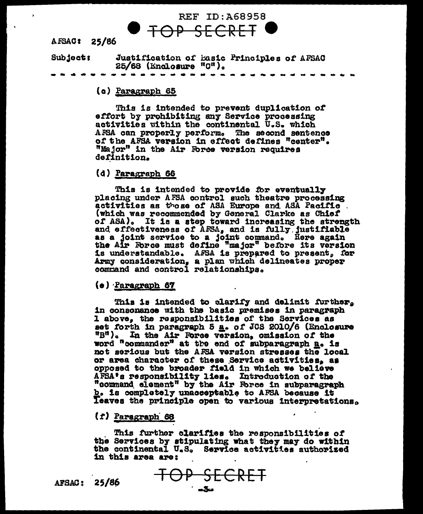# REF ID: A68958 OP SECRET

AFSAC: 25/86

Justification of Basic Principles of AFSAC Subject:  $25/68$  (Enclosure  $"0"$ ).

#### (c) Paragraph 65

This is intended to prevent duplication of effort by prohibiting any Service processing activities within the continental U.S. which AFSA can properly perform. The second sentence of the AFSA version in effect defines "center". "Major" in the Air Force version requires definition.

#### (d) Paragraph 66

This is intended to provide for eventually placing under AFSA control such theatre processing activities as those of ASA Europe and ASA Pacific. (which was recommended by General Clarke as Chief of ASA). It is a step toward increasing the strength<br>and effectiveness of AFSA, and is fully justifiable<br>as a joint service to a joint command. Here again<br>the Air Force must define "major" before its version is understandable. AFSA is prepared to present, for Army consideration, a plan which delineates proper command and control relationships.

#### (e) Paragraph 67

This is intended to clarify and delimit further, in consonance with the basic premises in paragraph 1 above, the responsibilities of the Services as set forth in paragraph 5 a. of JCS 2010/6 (Enclosure "B"). In the Air Force version, omission of the word "commander" at the end of subparagraph a. is not serious but the AFSA version stresses the local or area character of these Service activities, as opposed to the broader field in which we believe AFSA's responsibility lies. Introduction of the "command element" by the Air Force in subparagraph b. is completely unacceptable to AFSA because it Teaves the principle open to various interpretations.

#### $(f)$  Paragraph 68

This further clarifies the responsibilities of the Services by stipulating what they may do within the continental U.S. Service activities authorized in this area are:

AFSAC: 25/86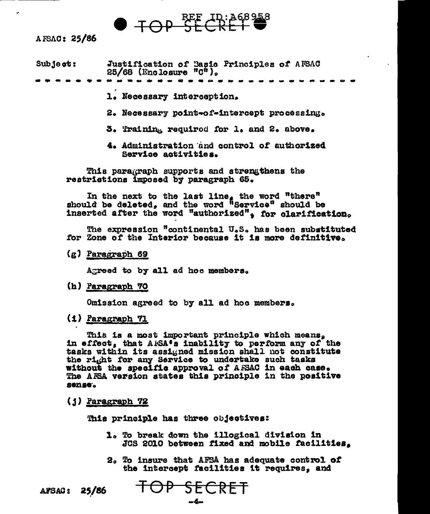# $\bullet$  TOP SECRET  $\bullet$

#### AFSAC: 25/86

| $Sub$ ject: | Justification of Basic Principles of AFSAC<br>$25/68$ (Enclosure $^{\circ}$ C $^{\circ}$ ). |  |  |  |
|-------------|---------------------------------------------------------------------------------------------|--|--|--|
|             |                                                                                             |  |  |  |

1. Necessary interception.

2. Necessary point-of-intercept processing.

3. Training required for 1. and 2. above.

4. Administration and control of authorized Service activities.

This paragraph supports and strengthens the restrictions imposed by paragraph 65.

In the next to the last line, the word "there" should be deleted, and the word "Service" should be inserted after the word "authorized", for clarification.

The expression "continental U.S. has been substituted for Zone of the Interior because it is more definitive.

(g) Paragraph 69

Agreed to by all ad hoc members.

(h) Paragraph 70

Omission agreed to by all ad hoc members.

(1) Paragraph 71

This is a most important principle which means. in effect, that AFSA's inability to perform any of the tasks within its assigned mission shall not constitute the right for any Service to undertake such tasks without the specific approval of AFSAC in each case. The AFSA version states this principle in the positive sense.

(j) Paragraph 72

This principle has three objectives:

- 1. To break down the illogical division in JCS 2010 between fixed and mobile facilities.
- 2. To insure that AFSA has adequate control of the intercept facilities it requires, and

AFSAC: 25/86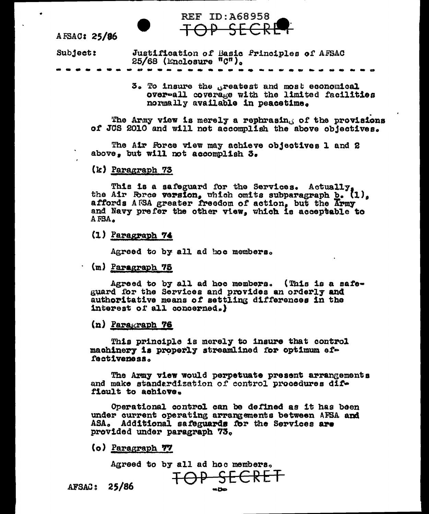# AFSAC: 25/86

Subject: Justification of Basic Principles of AFSAC  $25/68$  (Enclosure " $C<sup>n</sup>$ ).

> 3. To insure the greatest and most economical over-all coverage with the limited facilities normally available in peacetime.

The Army view is merely a rephrasing of the provisions of JCS 2010 and will not accomplish the above objectives.

The Air Force view may achieve objectives 1 and 2 above, but will not accomplish 3.

**REF ID: A68958** 

#### (k) Paragraph 73

This is a safeguard for the Services. Actually,<br>the Air Force version, which omits subparagraph b. (1),<br>affords AFSA greater freedom of action, but the Army and Navy prefer the other view, which is acceptable to AFSA.

 $(1)$  Paragraph 74

Agreed to by all ad hoc members.

(m) Paragraph 75

Agreed to by all ad hoc members. (This is a safeguard for the Services and provides an orderly and authoritative means of settling differences in the interest of all concerned.)

(n) Paragraph 76

This principle is merely to insure that control machinery is properly streamlined for optimum effectiveness.

The Army view would perpetuate present arrangements and make standardization of control procedures difficult to achieve.

Operational control can be defined as it has been under current operating arrangements between AFSA and ASA. Additional safeguards for the Services are provided under paragraph 73.

 ${o}$  Paragraph  $77$ 

Agreed to by all ad hoc members,

AFSAC: 25/86